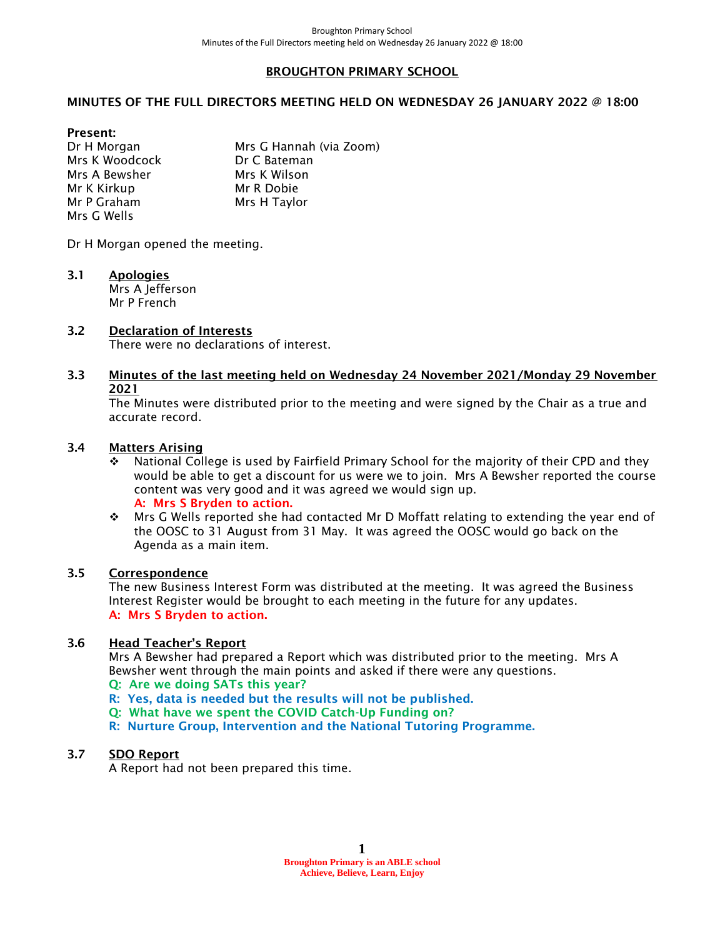#### BROUGHTON PRIMARY SCHOOL

#### MINUTES OF THE FULL DIRECTORS MEETING HELD ON WEDNESDAY 26 JANUARY 2022 @ 18:00

Present:

Dr H Morgan Mrs G Hannah (via Zoom) Mrs K Woodcock Dr C Bateman Mrs A Bewsher Mrs K Wilson Mr K Kirkup Mr R Dobie Mr P Graham Mrs H Taylor Mrs G Wells

Dr H Morgan opened the meeting.

3.1 Apologies Mrs A Jefferson

Mr P French

# 3.2 Declaration of Interests

There were no declarations of interest.

### 3.3 Minutes of the last meeting held on Wednesday 24 November 2021/Monday 29 November 2021

The Minutes were distributed prior to the meeting and were signed by the Chair as a true and accurate record.

### 3.4 Matters Arising

- ❖ National College is used by Fairfield Primary School for the majority of their CPD and they would be able to get a discount for us were we to join. Mrs A Bewsher reported the course content was very good and it was agreed we would sign up. A: Mrs S Bryden to action.
- ❖ Mrs G Wells reported she had contacted Mr D Moffatt relating to extending the year end of the OOSC to 31 August from 31 May. It was agreed the OOSC would go back on the Agenda as a main item.

#### 3.5 Correspondence

The new Business Interest Form was distributed at the meeting. It was agreed the Business Interest Register would be brought to each meeting in the future for any updates. A: Mrs S Bryden to action.

#### 3.6 Head Teacher's Report

Mrs A Bewsher had prepared a Report which was distributed prior to the meeting. Mrs A Bewsher went through the main points and asked if there were any questions.

#### Q: Are we doing SATs this year?

- R: Yes, data is needed but the results will not be published.
- Q: What have we spent the COVID Catch-Up Funding on?
- R: Nurture Group, Intervention and the National Tutoring Programme.

# 3.7 SDO Report

A Report had not been prepared this time.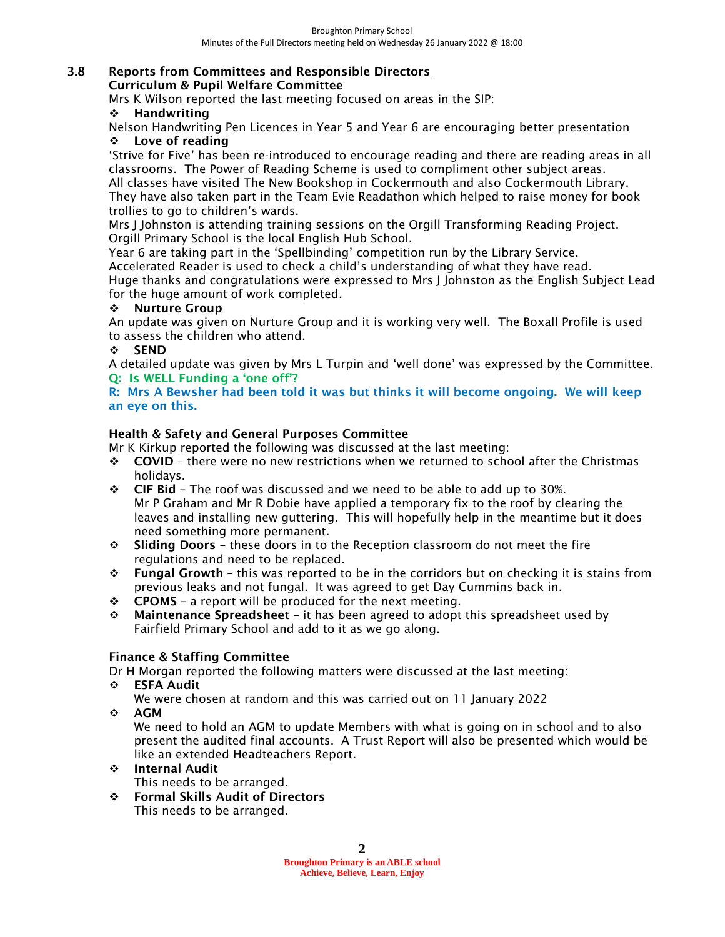### 3.8 Reports from Committees and Responsible Directors

Curriculum & Pupil Welfare Committee

Mrs K Wilson reported the last meeting focused on areas in the SIP:

### ❖ Handwriting

Nelson Handwriting Pen Licences in Year 5 and Year 6 are encouraging better presentation ❖ Love of reading

'Strive for Five' has been re-introduced to encourage reading and there are reading areas in all classrooms. The Power of Reading Scheme is used to compliment other subject areas.

All classes have visited The New Bookshop in Cockermouth and also Cockermouth Library. They have also taken part in the Team Evie Readathon which helped to raise money for book trollies to go to children's wards.

Mrs J Johnston is attending training sessions on the Orgill Transforming Reading Project. Orgill Primary School is the local English Hub School.

Year 6 are taking part in the 'Spellbinding' competition run by the Library Service.

Accelerated Reader is used to check a child's understanding of what they have read.

Huge thanks and congratulations were expressed to Mrs J Johnston as the English Subject Lead for the huge amount of work completed.

#### ❖ Nurture Group

An update was given on Nurture Group and it is working very well. The Boxall Profile is used to assess the children who attend.

# ❖ SEND

A detailed update was given by Mrs L Turpin and 'well done' was expressed by the Committee. Q: Is WELL Funding a 'one off'?

R: Mrs A Bewsher had been told it was but thinks it will become ongoing. We will keep an eye on this.

# Health & Safety and General Purposes Committee

Mr K Kirkup reported the following was discussed at the last meeting:

- ❖ COVID there were no new restrictions when we returned to school after the Christmas holidays.
- $\div$  CIF Bid The roof was discussed and we need to be able to add up to 30%. Mr P Graham and Mr R Dobie have applied a temporary fix to the roof by clearing the leaves and installing new guttering. This will hopefully help in the meantime but it does need something more permanent.
- ❖ Sliding Doors these doors in to the Reception classroom do not meet the fire regulations and need to be replaced.
- ❖ Fungal Growth this was reported to be in the corridors but on checking it is stains from previous leaks and not fungal. It was agreed to get Day Cummins back in.
- ❖ CPOMS a report will be produced for the next meeting.
- $\div$  Maintenance Spreadsheet it has been agreed to adopt this spreadsheet used by Fairfield Primary School and add to it as we go along.

# Finance & Staffing Committee

Dr H Morgan reported the following matters were discussed at the last meeting:

- ❖ ESFA Audit
	- We were chosen at random and this was carried out on 11 January 2022
- ❖ AGM

We need to hold an AGM to update Members with what is going on in school and to also present the audited final accounts. A Trust Report will also be presented which would be like an extended Headteachers Report.

❖ Internal Audit

This needs to be arranged.

❖ Formal Skills Audit of Directors This needs to be arranged.